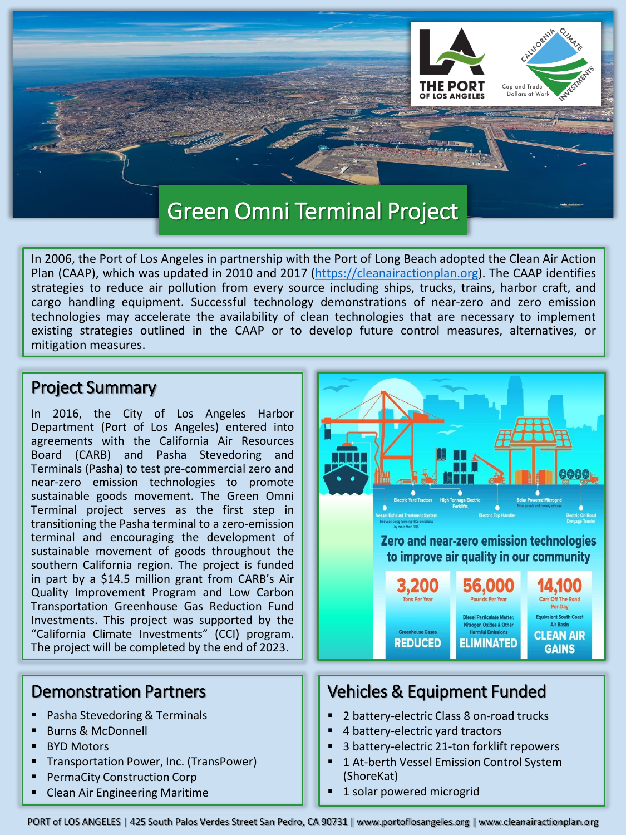

In 2006, the Port of Los Angeles in partnership with the Port of Long Beach adopted the Clean Air Action Plan (CAAP), which was updated in 2010 and 2017 ([https://cleanairactionplan.org\)](https://cleanairactionplan.org/). The CAAP identifies strategies to reduce air pollution from every source including ships, trucks, trains, harbor craft, and cargo handling equipment. Successful technology demonstrations of near-zero and zero emission technologies may accelerate the availability of clean technologies that are necessary to implement existing strategies outlined in the CAAP or to develop future control measures, alternatives, or mitigation measures.

#### Project Summary

In 2016, the City of Los Angeles Harbor Department (Port of Los Angeles) entered into agreements with the California Air Resources Board (CARB) and Pasha Stevedoring and Terminals (Pasha) to test pre-commercial zero and near-zero emission technologies to promote sustainable goods movement. The Green Omni Terminal project serves as the first step in transitioning the Pasha terminal to a zero-emission terminal and encouraging the development of sustainable movement of goods throughout the southern California region. The project is funded in part by a \$14.5 million grant from CARB's Air Quality Improvement Program and Low Carbon Transportation Greenhouse Gas Reduction Fund Investments. This project was supported by the "California Climate Investments" (CCI) program. The project will be completed by the end of 2023.

## Demonstration Partners

- Pasha Stevedoring & Terminals
- **Burns & McDonnell**
- **BYD Motors**
- Transportation Power, Inc. (TransPower)
- PermaCity Construction Corp
- **Clean Air Engineering Maritime**



# Vehicles & Equipment Funded

- 2 battery-electric Class 8 on-road trucks
- 4 battery-electric yard tractors
- 3 battery-electric 21-ton forklift repowers
- 1 At-berth Vessel Emission Control System (ShoreKat)
- 1 solar powered microgrid

PORT of LOS ANGELES | 425 South Palos Verdes Street San Pedro, CA 90731 | www.portoflosangeles.org | www.cleanairactionplan.org